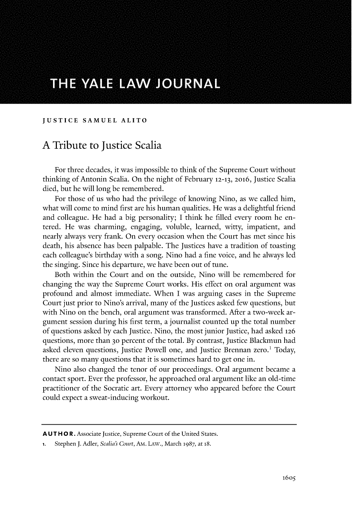## THE YALE LAW JOURNAL

## **JUSTICE SAMUEL ALITO**

## **A** Tribute to Justice Scalia

For three decades, it was impossible to think of the Supreme Court without thinking of Antonin Scalia. On the night of February **12-13, 2016,** Justice Scalia died, but he will long **be** remembered.

For those of us who had the privilege of knowing Nino, as we called him, what will come to mind first are his human qualities. He was a delightful friend and colleague. He had a big personality; **I** think he **filled** every room he entered. He was charming, engaging, voluble, learned, witty, impatient, and nearly always very frank. On every occasion when the Court has met since his death, his absence has been palpable. The Justices have a tradition of toasting each colleague's birthday with a song. Nino had a fine voice, and he always **led** the singing. Since his departure, we have been out of tune.

Both within the Court and on the outside, Nino will **be** remembered for changing the way the Supreme Court works. His effect on oral argument was profound and almost immediate. When **I** was arguing cases in the Supreme Court just prior to Nino's arrival, many of the Justices asked few questions, but with Nino on the bench, oral argument was transformed. After a two-week argument session during his first term, a journalist counted up the total number of questions asked **by** each Justice. Nino, the most junior Justice, had asked **126** questions, more than **30** percent of the total. **By** contrast, Justice Blackmun had asked eleven questions, Justice Powell one, and Justice Brennan zero.' Today, there are so many questions that it is sometimes hard to get one in.

Nino also changed the tenor of our proceedings. Oral argument became a contact sport. Ever the professor, he approached oral argument like an old-time practitioner of the Socratic art. Every attorney who appeared before the Court could expect a sweat-inducing workout.

**A U T H 0** R. Associate Justice, Supreme Court of the United States.

**<sup>1.</sup>** Stephen **J.** *Adler, Scalia's Court,* **AM.** LAw., March **1987,** at **18.**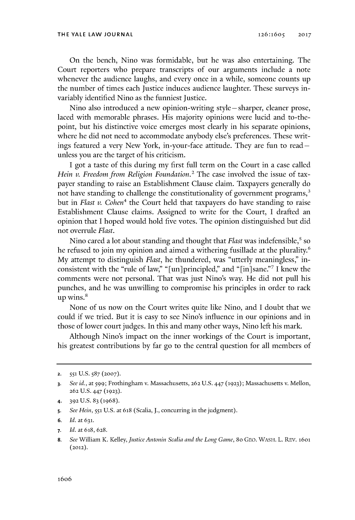On the bench, Nino was formidable, but he was also entertaining. The Court reporters who prepare transcripts of our arguments include a note whenever the audience laughs, and every once in a while, someone counts up the number of times each Justice induces audience laughter. These surveys invariably identified Nino as the funniest Justice.

Nino also introduced a new opinion-writing style - sharper, cleaner prose, laced with memorable phrases. His majority opinions were lucid and to-thepoint, but his distinctive voice emerges most clearly in his separate opinions, where he did not need to accommodate anybody else's preferences. These writings featured a very New York, in-your-face attitude. **They** are fun to read unless you are the target of his criticism.

**I** got a taste of this during my first full term on the Court in a case called *Hein v. Freedom from Religion Foundation.2* The case involved the issue of taxpayer standing to raise an Establishment Clause claim. Taxpayers generally do not have standing to challenge the constitutionality of government programs,<sup>3</sup> but in *Flast v. Cohen<sup>4</sup>*the Court **held** that taxpayers do have standing to raise Establishment Clause claims. Assigned to write for the Court, **I** drafted an opinion that **I** hoped would hold five votes. The opinion distinguished but did not overrule *Flast.*

Nino cared a lot about standing and thought that *Flast* was indefensible,' so he refused to join my opinion and aimed a withering fusillade at the plurality.<sup>6</sup> **My** attempt to distinguish *Flast,* he thundered, was "utterly meaningless," inconsistent with the "rule of law," "[un]principled," and "[in] sane."' **I** knew the comments were not personal. That was just Nino's way. He did not pull his punches, and he was unwilling to compromise his principles in order to rack up wins.

None of us now on the Court writes quite like Nino, and **I** doubt that we could if we tried. But it is easy to see Nino's influence in our opinions and in those of lower court judges. In this and many other ways, Nino **left** his mark.

Although Nino's impact on the inner workings of the Court is important, his greatest contributions **by** far go to the central question for all members of

**<sup>2.</sup> 551 U.S.** *587* **(2007).**

*<sup>3.</sup> See id., at 599;* Frothingham v. Massachusetts, **262 U.S. 447 (1923);** Massachusetts v. Mellon, **262 U.S.** 447 **(1923).**

<sup>4.</sup> **392 U.S. 83 (1968).**

**<sup>5.</sup>** *See Hein,* **551 U.S.** at **618** (Scalia, **J.,** concurring in the judgment).

**<sup>6.</sup>** *Id. at* **631.**

**<sup>7.</sup>** *Id.* at **618, 628.**

**<sup>8.</sup>** *See* William K. *Kelley,JusticeAntonin Scalia and the Long Game,* So GEO. WASH. L. REv. 1601 **(2012).**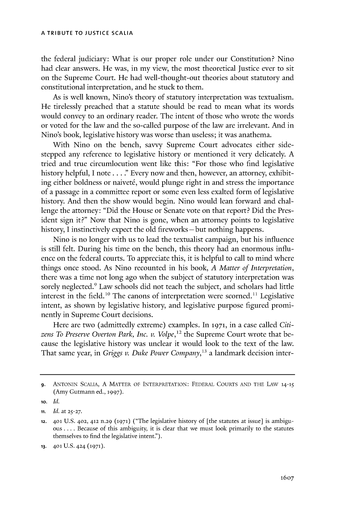the federal judiciary: What is our proper role under our Constitution? Nino had clear answers. He was, in my view, the most theoretical Justice ever to sit on the Supreme Court. He had well-thought-out theories about statutory and constitutional interpretation, and he stuck to them.

As is well known, Nino's theory of statutory interpretation was textualism. He tirelessly preached that a statute should **be** read to mean what its words would convey to an ordinary reader. The intent of those who wrote the words or voted for the law and the so-called purpose of the law are irrelevant. And in Nino's book, legislative history was worse than useless; it was anathema.

With Nino on the bench, savvy Supreme Court advocates either sidestepped any reference to legislative history or mentioned it very delicately. **A** tried and true circumlocution went like this: "For those who find legislative history helpful, **I** note. **. . ."** Every now and then, however, an attorney, exhibiting either boldness or naiveté, would plunge right in and stress the importance of a passage in a committee report or some even less exalted form of legislative history. And then the show would begin. Nino would lean forward and challenge the attorney: "Did the House or Senate vote on that report? Did the President sign it?" Now that Nino is gone, when an attorney points to legislative history, I instinctively expect the old fireworks - but nothing happens.

Nino is no longer with us to lead the textualist campaign, but his influence is still felt. During his time on the bench, this theory had an enormous influence on the federal courts. To appreciate this, it is helpful to call to mind where things once stood. As Nino recounted in his book, *A Matter of Interpretation,* there was a time not long ago when the subject of statutory interpretation was sorely neglected.<sup>9</sup> Law schools did not teach the subject, and scholars had little interest in the field.<sup>10</sup> The canons of interpretation were scorned.<sup>11</sup> Legislative intent, as shown **by** legislative history, and legislative purpose figured prominently in Supreme Court decisions.

Here are two (admittedly extreme) examples. In **1971,** in a case called *Citizens To Preserve Overton Park, Inc. v. Volpe,<sup>12</sup>*the Supreme Court wrote that **be**cause the legislative history was unclear it would look to the text of the law. That same year, in *Griggs v. Duke Power Company,"* a landmark decision inter-

**<sup>9.</sup>** ANTONIN SCALIA, **A** MATTER OF INTERPRETATION: FEDERAL **COURTS AND** THE LAw **14-15** (Amy Gutmann ed., **1997).**

**<sup>10.</sup>** *Id.*

**ii.** *Id.* at **25-27.**

**<sup>12.</sup> 401 U.S. 402, 412 n.29 (1971)** ("The legislative history of [the statutes at issue] is ambiguous **....** Because of this ambiguity, it is clear that we must look primarily to the statutes themselves to find the legislative intent.").

**<sup>13.</sup> 401 U.S. 424 (1971).**